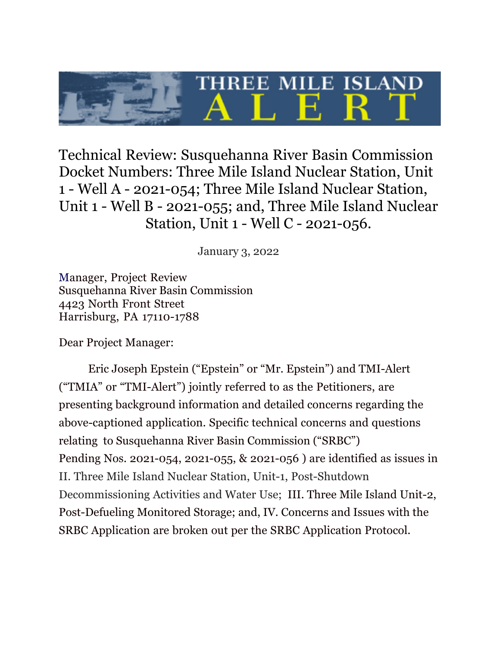Technical Review: Susquehanna River Basin Commission Docket Numbers: Three Mile Island Nuclear Station, Unit 1 - Well A - 2021-054; Three Mile Island Nuclear Station, Unit 1 - Well B - 2021-055; and, Three Mile Island Nuclear Station, Unit 1 - Well C - 2021-056.

**HREE MILE ISLA** 

January 3, 2022

Manager, Project Review Susquehanna River Basin Commission 4423 North Front Street Harrisburg, PA 17110-1788

Dear Project Manager:

Eric Joseph Epstein ("Epstein" or "Mr. Epstein") and TMI-Alert ("TMIA" or "TMI-Alert") jointly referred to as the Petitioners, are presenting background information and detailed concerns regarding the above-captioned application. Specific technical concerns and questions relating to Susquehanna River Basin Commission ("SRBC") Pending Nos. 2021-054, 2021-055, & 2021-056 ) are identified as issues in II. Three Mile Island Nuclear Station, Unit-1, Post-Shutdown Decommissioning Activities and Water Use; III. Three Mile Island Unit-2, Post-Defueling Monitored Storage; and, IV. Concerns and Issues with the SRBC Application are broken out per the SRBC Application Protocol.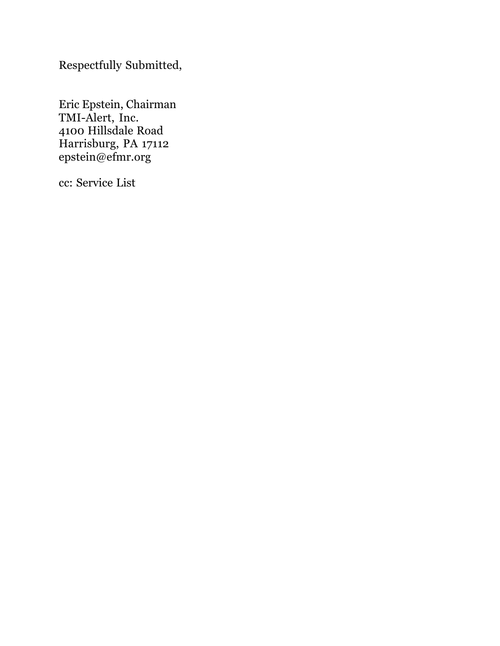Respectfully Submitted,

Eric Epstein, Chairman TMI-Alert, Inc. 4100 Hillsdale Road Harrisburg, PA 17112 epstein@efmr.org

cc: Service List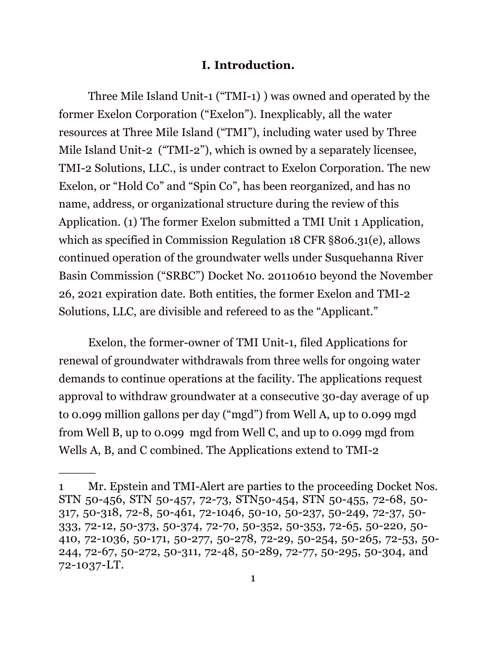#### **I. Introduction.**

Three Mile Island Unit-1 ("TMI-1) ) was owned and operated by the former Exelon Corporation ("Exelon"). Inexplicably, all the water resources at Three Mile Island ("TMI"), including water used by Three Mile Island Unit-2 ("TMI-2"), which is owned by a separately licensee, TMI-2 Solutions, LLC., is under contract to Exelon Corporation. The new Exelon, or "Hold Co" and "Spin Co", has been reorganized, and has no name, address, or organizational structure during the review of this Application. (1) The former Exelon submitted a TMI Unit 1 Application, which as specified in Commission Regulation 18 CFR §806.31(e), allows continued operation of the groundwater wells under Susquehanna River Basin Commission ("SRBC") Docket No. 20110610 beyond the November 26, 2021 expiration date. Both entities, the former Exelon and TMI-2 Solutions, LLC, are divisible and refereed to as the "Applicant."

Exelon, the former-owner of TMI Unit-1, filed Applications for renewal of groundwater withdrawals from three wells for ongoing water demands to continue operations at the facility. The applications request approval to withdraw groundwater at a consecutive 30-day average of up to 0.099 million gallons per day ("mgd") from Well A, up to 0.099 mgd from Well B, up to 0.099 mgd from Well C, and up to 0.099 mgd from Wells A, B, and C combined. The Applications extend to TMI-2

<sup>1</sup> Mr. Epstein and TMI-Alert are parties to the proceeding Docket Nos. STN 50-456, STN 50-457, 72-73, STN50-454, STN 50-455, 72-68, 50- 317, 50-318, 72-8, 50-461, 72-1046, 50-10, 50-237, 50-249, 72-37, 50- 333, 72-12, 50-373, 50-374, 72-70, 50-352, 50-353, 72-65, 50-220, 50- 410, 72-1036, 50-171, 50-277, 50-278, 72-29, 50-254, 50-265, 72-53, 50- 244, 72-67, 50-272, 50-311, 72-48, 50-289, 72-77, 50-295, 50-304, and 72-1037-LT.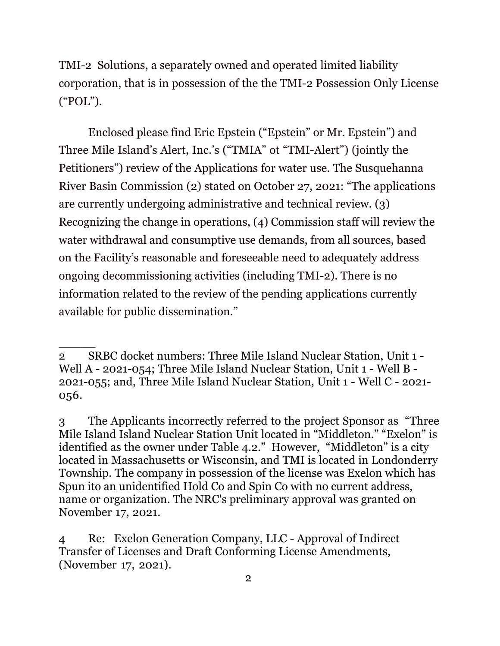TMI-2 Solutions, a separately owned and operated limited liability corporation, that is in possession of the the TMI-2 Possession Only License ("POL").

Enclosed please find Eric Epstein ("Epstein" or Mr. Epstein") and Three Mile Island's Alert, Inc.'s ("TMIA" ot "TMI-Alert") (jointly the Petitioners") review of the Applications for water use. The Susquehanna River Basin Commission (2) stated on October 27, 2021: "The applications are currently undergoing administrative and technical review. (3) Recognizing the change in operations, (4) Commission staff will review the water withdrawal and consumptive use demands, from all sources, based on the Facility's reasonable and foreseeable need to adequately address ongoing decommissioning activities (including TMI-2). There is no information related to the review of the pending applications currently available for public dissemination."

<sup>2</sup> SRBC docket numbers: Three Mile Island Nuclear Station, Unit 1 - Well A - 2021-054; Three Mile Island Nuclear Station, Unit 1 - Well B - 2021-055; and, Three Mile Island Nuclear Station, Unit 1 - Well C - 2021- 056.

<sup>3</sup> The Applicants incorrectly referred to the project Sponsor as "Three Mile Island Island Nuclear Station Unit located in "Middleton." "Exelon" is identified as the owner under Table 4.2." However, "Middleton" is a city located in Massachusetts or Wisconsin, and TMI is located in Londonderry Township. The company in possession of the license was Exelon which has Spun ito an unidentified Hold Co and Spin Co with no current address, name or organization. The NRC's preliminary approval was granted on November 17, 2021.

<sup>4</sup> Re: Exelon Generation Company, LLC - Approval of Indirect Transfer of Licenses and Draft Conforming License Amendments, (November 17, 2021).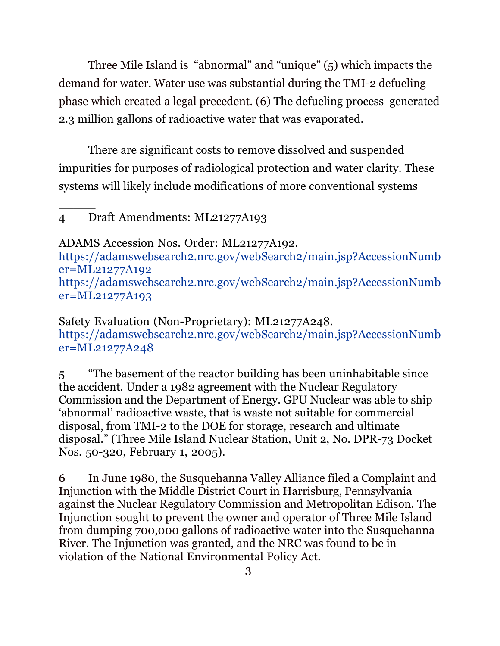Three Mile Island is "abnormal" and "unique" (5) which impacts the demand for water. Water use was substantial during the TMI-2 defueling phase which created a legal precedent. (6) The defueling process generated 2.3 million gallons of radioactive water that was evaporated.

There are significant costs to remove dissolved and suspended impurities for purposes of radiological protection and water clarity. These systems will likely include modifications of more conventional systems

### 4 Draft Amendments: ML21277A193

 $\overline{\phantom{a}}$ 

ADAMS Accession Nos. Order: ML21277A192.

https://adamswebsearch2.nrc.gov/webSearch2/main.jsp?AccessionNumb er=ML21277A192 https://adamswebsearch2.nrc.gov/webSearch2/main.jsp?AccessionNumb er=ML21277A193

Safety Evaluation (Non-Proprietary): ML21277A248. https://adamswebsearch2.nrc.gov/webSearch2/main.jsp?AccessionNumb er=ML21277A248

5 "The basement of the reactor building has been uninhabitable since the accident. Under a 1982 agreement with the Nuclear Regulatory Commission and the Department of Energy. GPU Nuclear was able to ship 'abnormal' radioactive waste, that is waste not suitable for commercial disposal, from TMI-2 to the DOE for storage, research and ultimate disposal." (Three Mile Island Nuclear Station, Unit 2, No. DPR-73 Docket Nos. 50-320, February 1, 2005).

6 In June 1980, the Susquehanna Valley Alliance filed a Complaint and Injunction with the Middle District Court in Harrisburg, Pennsylvania against the Nuclear Regulatory Commission and Metropolitan Edison. The Injunction sought to prevent the owner and operator of Three Mile Island from dumping 700,000 gallons of radioactive water into the Susquehanna River. The Injunction was granted, and the NRC was found to be in violation of the National Environmental Policy Act.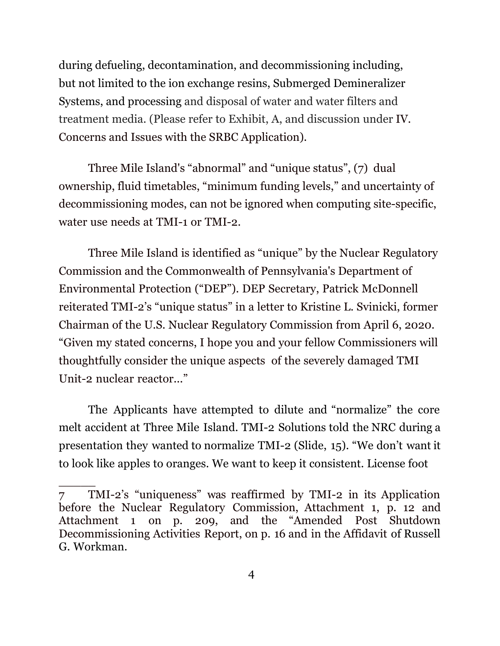during defueling, decontamination, and decommissioning including, but not limited to the ion exchange resins, Submerged Demineralizer Systems, and processing and disposal of water and water filters and treatment media. (Please refer to Exhibit, A, and discussion under IV. Concerns and Issues with the SRBC Application).

Three Mile Island's "abnormal" and "unique status", (7) dual ownership, fluid timetables, "minimum funding levels," and uncertainty of decommissioning modes, can not be ignored when computing site-specific, water use needs at TMI-1 or TMI-2.

Three Mile Island is identified as "unique" by the Nuclear Regulatory Commission and the Commonwealth of Pennsylvania's Department of Environmental Protection ("DEP"). DEP Secretary, Patrick McDonnell reiterated TMI-2's "unique status" in a letter to Kristine L. Svinicki, former Chairman of the U.S. Nuclear Regulatory Commission from April 6, 2020. "Given my stated concerns, I hope you and your fellow Commissioners will thoughtfully consider the unique aspects of the severely damaged TMI Unit-2 nuclear reactor..."

The Applicants have attempted to dilute and "normalize" the core melt accident at Three Mile Island. TMI-2 Solutions told the NRC during a presentation they wanted to normalize TMI-2 (Slide, 15). "We don't want it to look like apples to oranges. We want to keep it consistent. License foot

<sup>7</sup> TMI-2's "uniqueness" was reaffirmed by TMI-2 in its Application before the Nuclear Regulatory Commission, Attachment 1, p. 12 and Attachment 1 on p. 209, and the "Amended Post Shutdown Decommissioning Activities Report, on p. 16 and in the Affidavit of Russell G. Workman.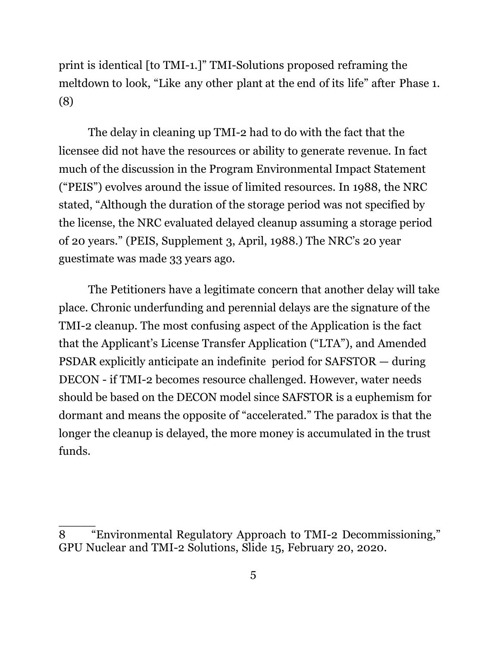print is identical [to TMI-1.]" TMI-Solutions proposed reframing the meltdown to look, "Like any other plant at the end of its life" after Phase 1. (8)

The delay in cleaning up TMI-2 had to do with the fact that the licensee did not have the resources or ability to generate revenue. In fact much of the discussion in the Program Environmental Impact Statement ("PEIS") evolves around the issue of limited resources. In 1988, the NRC stated, "Although the duration of the storage period was not specified by the license, the NRC evaluated delayed cleanup assuming a storage period of 20 years." (PEIS, Supplement 3, April, 1988.) The NRC's 20 year guestimate was made 33 years ago.

 The Petitioners have a legitimate concern that another delay will take place. Chronic underfunding and perennial delays are the signature of the TMI-2 cleanup. The most confusing aspect of the Application is the fact that the Applicant's License Transfer Application ("LTA"), and Amended PSDAR explicitly anticipate an indefinite period for SAFSTOR — during DECON - if TMI-2 becomes resource challenged. However, water needs should be based on the DECON model since SAFSTOR is a euphemism for dormant and means the opposite of "accelerated." The paradox is that the longer the cleanup is delayed, the more money is accumulated in the trust funds.

<sup>8</sup> "Environmental Regulatory Approach to TMI-2 Decommissioning," GPU Nuclear and TMI-2 Solutions, Slide 15, February 20, 2020.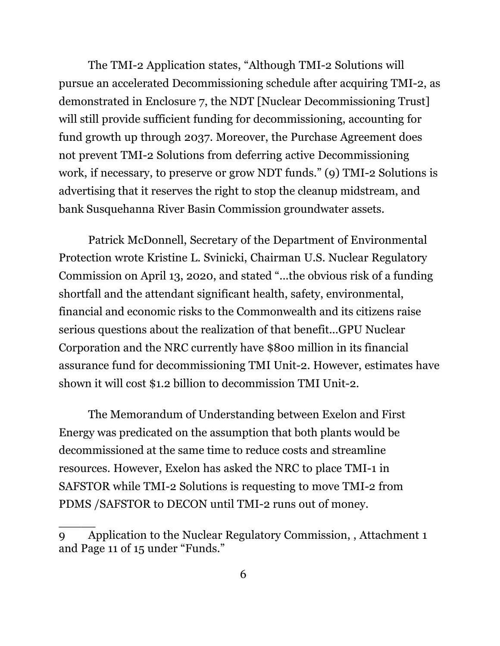The TMI-2 Application states, "Although TMI-2 Solutions will pursue an accelerated Decommissioning schedule after acquiring TMI-2, as demonstrated in Enclosure 7, the NDT [Nuclear Decommissioning Trust] will still provide sufficient funding for decommissioning, accounting for fund growth up through 2037. Moreover, the Purchase Agreement does not prevent TMI-2 Solutions from deferring active Decommissioning work, if necessary, to preserve or grow NDT funds." (9) TMI-2 Solutions is advertising that it reserves the right to stop the cleanup midstream, and bank Susquehanna River Basin Commission groundwater assets.

Patrick McDonnell, Secretary of the Department of Environmental Protection wrote Kristine L. Svinicki, Chairman U.S. Nuclear Regulatory Commission on April 13, 2020, and stated "...the obvious risk of a funding shortfall and the attendant significant health, safety, environmental, financial and economic risks to the Commonwealth and its citizens raise serious questions about the realization of that benefit...GPU Nuclear Corporation and the NRC currently have \$800 million in its financial assurance fund for decommissioning TMI Unit-2. However, estimates have shown it will cost \$1.2 billion to decommission TMI Unit-2.

The Memorandum of Understanding between Exelon and First Energy was predicated on the assumption that both plants would be decommissioned at the same time to reduce costs and streamline resources. However, Exelon has asked the NRC to place TMI-1 in SAFSTOR while TMI-2 Solutions is requesting to move TMI-2 from PDMS /SAFSTOR to DECON until TMI-2 runs out of money.

<sup>9</sup> Application to the Nuclear Regulatory Commission, , Attachment 1 and Page 11 of 15 under "Funds."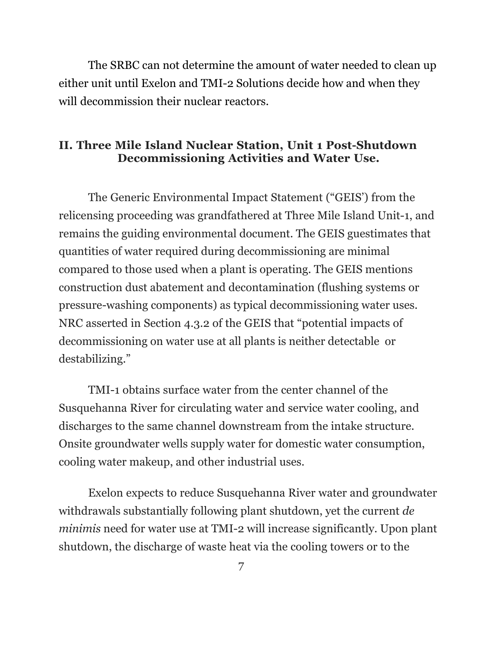The SRBC can not determine the amount of water needed to clean up either unit until Exelon and TMI-2 Solutions decide how and when they will decommission their nuclear reactors.

#### **II. Three Mile Island Nuclear Station, Unit 1 Post-Shutdown Decommissioning Activities and Water Use.**

The Generic Environmental Impact Statement ("GEIS') from the relicensing proceeding was grandfathered at Three Mile Island Unit-1, and remains the guiding environmental document. The GEIS guestimates that quantities of water required during decommissioning are minimal compared to those used when a plant is operating. The GEIS mentions construction dust abatement and decontamination (flushing systems or pressure-washing components) as typical decommissioning water uses. NRC asserted in Section 4.3.2 of the GEIS that "potential impacts of decommissioning on water use at all plants is neither detectable or destabilizing."

TMI-1 obtains surface water from the center channel of the Susquehanna River for circulating water and service water cooling, and discharges to the same channel downstream from the intake structure. Onsite groundwater wells supply water for domestic water consumption, cooling water makeup, and other industrial uses.

Exelon expects to reduce Susquehanna River water and groundwater withdrawals substantially following plant shutdown, yet the current *de minimis* need for water use at TMI-2 will increase significantly. Upon plant shutdown, the discharge of waste heat via the cooling towers or to the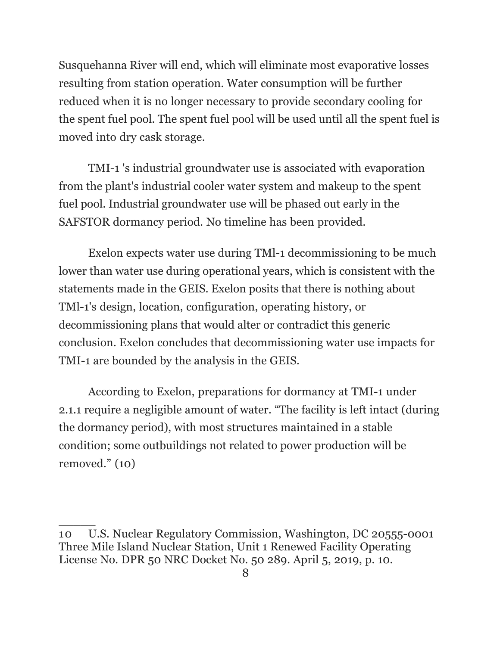Susquehanna River will end, which will eliminate most evaporative losses resulting from station operation. Water consumption will be further reduced when it is no longer necessary to provide secondary cooling for the spent fuel pool. The spent fuel pool will be used until all the spent fuel is moved into dry cask storage.

TMI-1 's industrial groundwater use is associated with evaporation from the plant's industrial cooler water system and makeup to the spent fuel pool. Industrial groundwater use will be phased out early in the SAFSTOR dormancy period. No timeline has been provided.

Exelon expects water use during TMl-1 decommissioning to be much lower than water use during operational years, which is consistent with the statements made in the GEIS. Exelon posits that there is nothing about TMl-1's design, location, configuration, operating history, or decommissioning plans that would alter or contradict this generic conclusion. Exelon concludes that decommissioning water use impacts for TMI-1 are bounded by the analysis in the GEIS.

According to Exelon, preparations for dormancy at TMI-1 under 2.1.1 require a negligible amount of water. "The facility is left intact (during the dormancy period), with most structures maintained in a stable condition; some outbuildings not related to power production will be removed." (10)

<sup>10</sup> U.S. Nuclear Regulatory Commission, Washington, DC 20555-0001 Three Mile Island Nuclear Station, Unit 1 Renewed Facility Operating License No. DPR 50 NRC Docket No. 50 289. April 5, 2019, p. 10.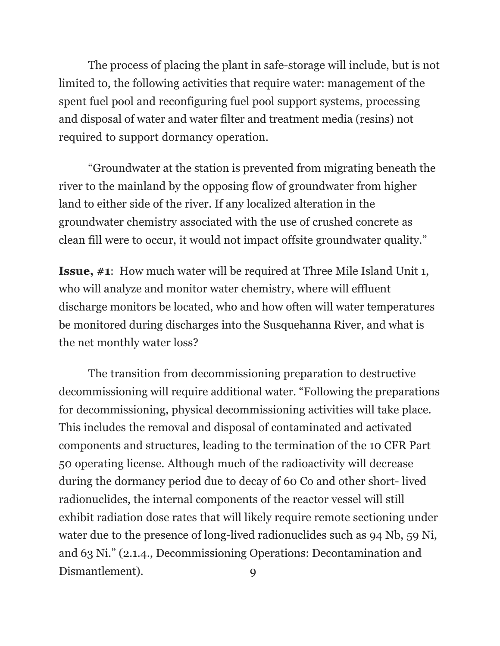The process of placing the plant in safe-storage will include, but is not limited to, the following activities that require water: management of the spent fuel pool and reconfiguring fuel pool support systems, processing and disposal of water and water filter and treatment media (resins) not required to support dormancy operation.

"Groundwater at the station is prevented from migrating beneath the river to the mainland by the opposing flow of groundwater from higher land to either side of the river. If any localized alteration in the groundwater chemistry associated with the use of crushed concrete as clean fill were to occur, it would not impact offsite groundwater quality."

**Issue, #1**: How much water will be required at Three Mile Island Unit 1, who will analyze and monitor water chemistry, where will effluent discharge monitors be located, who and how often will water temperatures be monitored during discharges into the Susquehanna River, and what is the net monthly water loss?

The transition from decommissioning preparation to destructive decommissioning will require additional water. "Following the preparations for decommissioning, physical decommissioning activities will take place. This includes the removal and disposal of contaminated and activated components and structures, leading to the termination of the 10 CFR Part 50 operating license. Although much of the radioactivity will decrease during the dormancy period due to decay of 60 Co and other short- lived radionuclides, the internal components of the reactor vessel will still exhibit radiation dose rates that will likely require remote sectioning under water due to the presence of long-lived radionuclides such as 94 Nb, 59 Ni, and 63 Ni." (2.1.4., Decommissioning Operations: Decontamination and Dismantlement). 9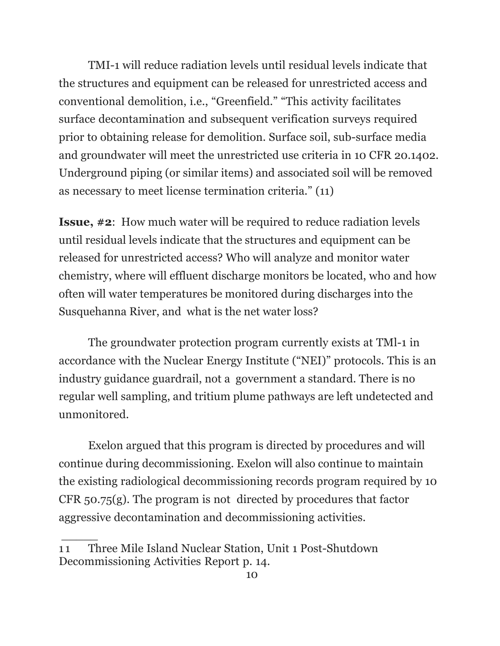TMI-1 will reduce radiation levels until residual levels indicate that the structures and equipment can be released for unrestricted access and conventional demolition, i.e., "Greenfield." "This activity facilitates surface decontamination and subsequent verification surveys required prior to obtaining release for demolition. Surface soil, sub-surface media and groundwater will meet the unrestricted use criteria in 10 CFR 20.1402. Underground piping (or similar items) and associated soil will be removed as necessary to meet license termination criteria." (11)

**Issue, #2**: How much water will be required to reduce radiation levels until residual levels indicate that the structures and equipment can be released for unrestricted access? Who will analyze and monitor water chemistry, where will effluent discharge monitors be located, who and how often will water temperatures be monitored during discharges into the Susquehanna River, and what is the net water loss?

The groundwater protection program currently exists at TMl-1 in accordance with the Nuclear Energy Institute ("NEI)" protocols. This is an industry guidance guardrail, not a government a standard. There is no regular well sampling, and tritium plume pathways are left undetected and unmonitored.

Exelon argued that this program is directed by procedures and will continue during decommissioning. Exelon will also continue to maintain the existing radiological decommissioning records program required by 10 CFR 50.75(g). The program is not directed by procedures that factor aggressive decontamination and decommissioning activities.

 $\frac{1}{\sqrt{2}}$ 

<sup>11</sup> Three Mile Island Nuclear Station, Unit 1 Post-Shutdown Decommissioning Activities Report p. 14.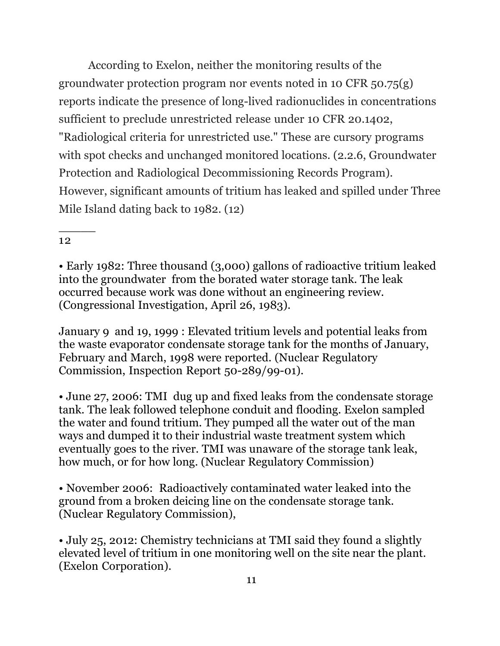According to Exelon, neither the monitoring results of the groundwater protection program nor events noted in 10 CFR 50.75(g) reports indicate the presence of long-lived radionuclides in concentrations sufficient to preclude unrestricted release under 10 CFR 20.1402, "Radiological criteria for unrestricted use." These are cursory programs with spot checks and unchanged monitored locations. (2.2.6, Groundwater Protection and Radiological Decommissioning Records Program). However, significant amounts of tritium has leaked and spilled under Three Mile Island dating back to 1982. (12)

#### 12

 $\overline{\phantom{a}}$ 

• Early 1982: Three thousand (3,000) gallons of radioactive tritium leaked into the groundwater from the borated water storage tank. The leak occurred because work was done without an engineering review. (Congressional Investigation, April 26, 1983).

January 9 and 19, 1999 : Elevated tritium levels and potential leaks from the waste evaporator condensate storage tank for the months of January, February and March, 1998 were reported. (Nuclear Regulatory Commission, Inspection Report 50-289/99-01).

• June 27, 2006: TMI dug up and fixed leaks from the condensate storage tank. The leak followed telephone conduit and flooding. Exelon sampled the water and found tritium. They pumped all the water out of the man ways and dumped it to their industrial waste treatment system which eventually goes to the river. TMI was unaware of the storage tank leak, how much, or for how long. (Nuclear Regulatory Commission)

• November 2006: Radioactively contaminated water leaked into the ground from a broken deicing line on the condensate storage tank. (Nuclear Regulatory Commission),

• July 25, 2012: Chemistry technicians at TMI said they found a slightly elevated level of tritium in one monitoring well on the site near the plant. (Exelon Corporation).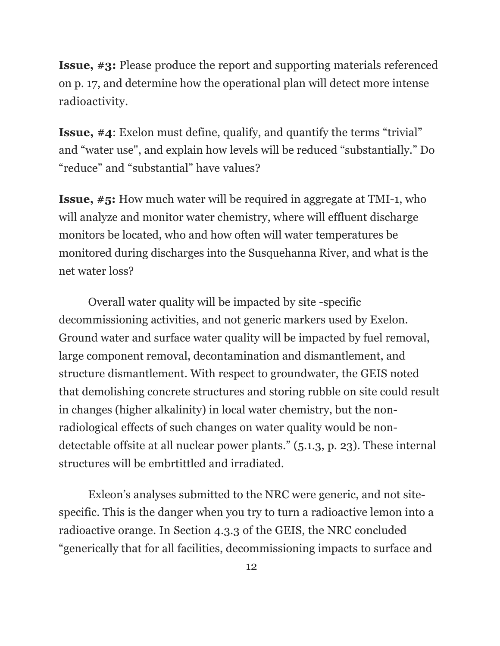**Issue, #3:** Please produce the report and supporting materials referenced on p. 17, and determine how the operational plan will detect more intense radioactivity.

**Issue, #4**: Exelon must define, qualify, and quantify the terms "trivial" and "water use", and explain how levels will be reduced "substantially." Do "reduce" and "substantial" have values?

**Issue, #5:** How much water will be required in aggregate at TMI-1, who will analyze and monitor water chemistry, where will effluent discharge monitors be located, who and how often will water temperatures be monitored during discharges into the Susquehanna River, and what is the net water loss?

Overall water quality will be impacted by site -specific decommissioning activities, and not generic markers used by Exelon. Ground water and surface water quality will be impacted by fuel removal, large component removal, decontamination and dismantlement, and structure dismantlement. With respect to groundwater, the GEIS noted that demolishing concrete structures and storing rubble on site could result in changes (higher alkalinity) in local water chemistry, but the nonradiological effects of such changes on water quality would be nondetectable offsite at all nuclear power plants." (5.1.3, p. 23). These internal structures will be embrtittled and irradiated.

Exleon's analyses submitted to the NRC were generic, and not sitespecific. This is the danger when you try to turn a radioactive lemon into a radioactive orange. In Section 4.3.3 of the GEIS, the NRC concluded "generically that for all facilities, decommissioning impacts to surface and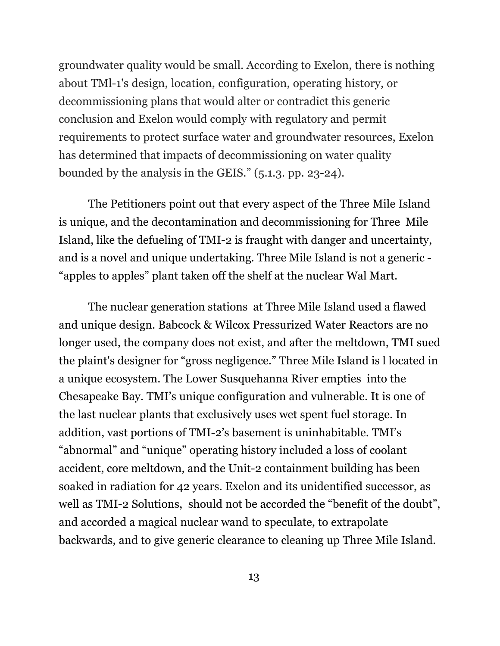groundwater quality would be small. According to Exelon, there is nothing about TMl-1's design, location, configuration, operating history, or decommissioning plans that would alter or contradict this generic conclusion and Exelon would comply with regulatory and permit requirements to protect surface water and groundwater resources, Exelon has determined that impacts of decommissioning on water quality bounded by the analysis in the GEIS." (5.1.3. pp. 23-24).

The Petitioners point out that every aspect of the Three Mile Island is unique, and the decontamination and decommissioning for Three Mile Island, like the defueling of TMI-2 is fraught with danger and uncertainty, and is a novel and unique undertaking. Three Mile Island is not a generic - "apples to apples" plant taken off the shelf at the nuclear Wal Mart.

The nuclear generation stations at Three Mile Island used a flawed and unique design. Babcock & Wilcox Pressurized Water Reactors are no longer used, the company does not exist, and after the meltdown, TMI sued the plaint's designer for "gross negligence." Three Mile Island is l located in a unique ecosystem. The Lower Susquehanna River empties into the Chesapeake Bay. TMI's unique configuration and vulnerable. It is one of the last nuclear plants that exclusively uses wet spent fuel storage. In addition, vast portions of TMI-2's basement is uninhabitable. TMI's "abnormal" and "unique" operating history included a loss of coolant accident, core meltdown, and the Unit-2 containment building has been soaked in radiation for 42 years. Exelon and its unidentified successor, as well as TMI-2 Solutions, should not be accorded the "benefit of the doubt", and accorded a magical nuclear wand to speculate, to extrapolate backwards, and to give generic clearance to cleaning up Three Mile Island.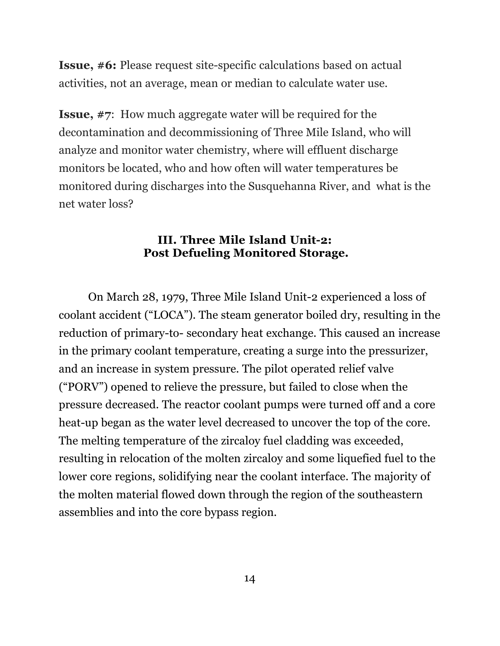**Issue, #6:** Please request site-specific calculations based on actual activities, not an average, mean or median to calculate water use.

**Issue, #7**: How much aggregate water will be required for the decontamination and decommissioning of Three Mile Island, who will analyze and monitor water chemistry, where will effluent discharge monitors be located, who and how often will water temperatures be monitored during discharges into the Susquehanna River, and what is the net water loss?

#### **III. Three Mile Island Unit-2: Post Defueling Monitored Storage.**

On March 28, 1979, Three Mile Island Unit-2 experienced a loss of coolant accident ("LOCA"). The steam generator boiled dry, resulting in the reduction of primary-to- secondary heat exchange. This caused an increase in the primary coolant temperature, creating a surge into the pressurizer, and an increase in system pressure. The pilot operated relief valve ("PORV") opened to relieve the pressure, but failed to close when the pressure decreased. The reactor coolant pumps were turned off and a core heat-up began as the water level decreased to uncover the top of the core. The melting temperature of the zircaloy fuel cladding was exceeded, resulting in relocation of the molten zircaloy and some liquefied fuel to the lower core regions, solidifying near the coolant interface. The majority of the molten material flowed down through the region of the southeastern assemblies and into the core bypass region.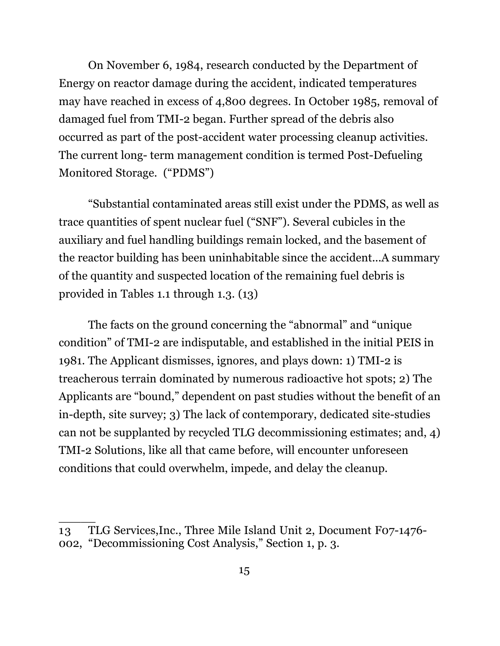On November 6, 1984, research conducted by the Department of Energy on reactor damage during the accident, indicated temperatures may have reached in excess of 4,800 degrees. In October 1985, removal of damaged fuel from TMI-2 began. Further spread of the debris also occurred as part of the post-accident water processing cleanup activities. The current long- term management condition is termed Post-Defueling Monitored Storage. ("PDMS")

"Substantial contaminated areas still exist under the PDMS, as well as trace quantities of spent nuclear fuel ("SNF"). Several cubicles in the auxiliary and fuel handling buildings remain locked, and the basement of the reactor building has been uninhabitable since the accident...A summary of the quantity and suspected location of the remaining fuel debris is provided in Tables 1.1 through 1.3. (13)

The facts on the ground concerning the "abnormal" and "unique condition" of TMI-2 are indisputable, and established in the initial PEIS in 1981. The Applicant dismisses, ignores, and plays down: 1) TMI-2 is treacherous terrain dominated by numerous radioactive hot spots; 2) The Applicants are "bound," dependent on past studies without the benefit of an in-depth, site survey; 3) The lack of contemporary, dedicated site-studies can not be supplanted by recycled TLG decommissioning estimates; and, 4) TMI-2 Solutions, like all that came before, will encounter unforeseen conditions that could overwhelm, impede, and delay the cleanup.

<sup>13</sup> TLG Services,Inc., Three Mile Island Unit 2, Document F07-1476- 002, "Decommissioning Cost Analysis," Section 1, p. 3.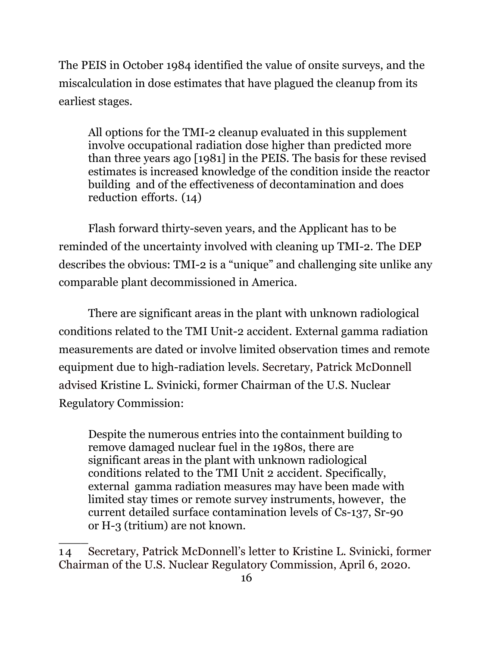The PEIS in October 1984 identified the value of onsite surveys, and the miscalculation in dose estimates that have plagued the cleanup from its earliest stages.

All options for the TMI-2 cleanup evaluated in this supplement involve occupational radiation dose higher than predicted more than three years ago [1981] in the PEIS. The basis for these revised estimates is increased knowledge of the condition inside the reactor building and of the effectiveness of decontamination and does reduction efforts. (14)

Flash forward thirty-seven years, and the Applicant has to be reminded of the uncertainty involved with cleaning up TMI-2. The DEP describes the obvious: TMI-2 is a "unique" and challenging site unlike any comparable plant decommissioned in America.

There are significant areas in the plant with unknown radiological conditions related to the TMI Unit-2 accident. External gamma radiation measurements are dated or involve limited observation times and remote equipment due to high-radiation levels. Secretary, Patrick McDonnell advised Kristine L. Svinicki, former Chairman of the U.S. Nuclear Regulatory Commission:

Despite the numerous entries into the containment building to remove damaged nuclear fuel in the 1980s, there are significant areas in the plant with unknown radiological conditions related to the TMI Unit 2 accident. Specifically, external gamma radiation measures may have been made with limited stay times or remote survey instruments, however, the current detailed surface contamination levels of Cs-137, Sr-90 or H-3 (tritium) are not known.

<sup>1 4</sup> Secretary, Patrick McDonnell's letter to Kristine L. Svinicki, former Chairman of the U.S. Nuclear Regulatory Commission, April 6, 2020.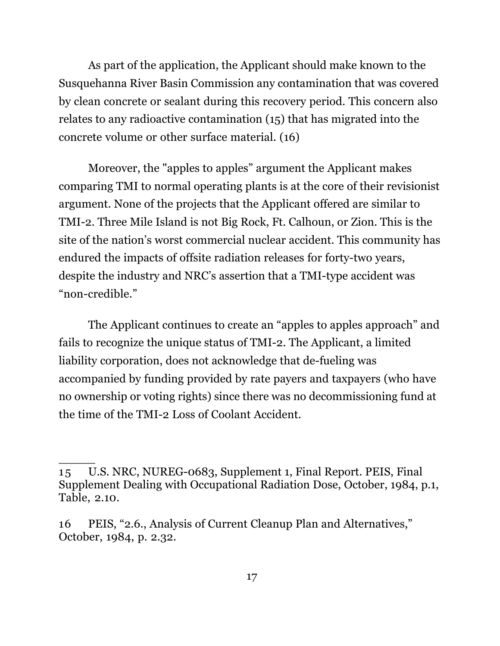As part of the application, the Applicant should make known to the Susquehanna River Basin Commission any contamination that was covered by clean concrete or sealant during this recovery period. This concern also relates to any radioactive contamination (15) that has migrated into the concrete volume or other surface material. (16)

Moreover, the "apples to apples" argument the Applicant makes comparing TMI to normal operating plants is at the core of their revisionist argument. None of the projects that the Applicant offered are similar to TMI-2. Three Mile Island is not Big Rock, Ft. Calhoun, or Zion. This is the site of the nation's worst commercial nuclear accident. This community has endured the impacts of offsite radiation releases for forty-two years, despite the industry and NRC's assertion that a TMI-type accident was "non-credible."

The Applicant continues to create an "apples to apples approach" and fails to recognize the unique status of TMI-2. The Applicant, a limited liability corporation, does not acknowledge that de-fueling was accompanied by funding provided by rate payers and taxpayers (who have no ownership or voting rights) since there was no decommissioning fund at the time of the TMI-2 Loss of Coolant Accident.

<sup>15</sup> U.S. NRC, NUREG-0683, Supplement 1, Final Report. PEIS, Final Supplement Dealing with Occupational Radiation Dose, October, 1984, p.1, Table, 2.10.

<sup>16</sup> PEIS, "2.6., Analysis of Current Cleanup Plan and Alternatives," October, 1984, p. 2.32.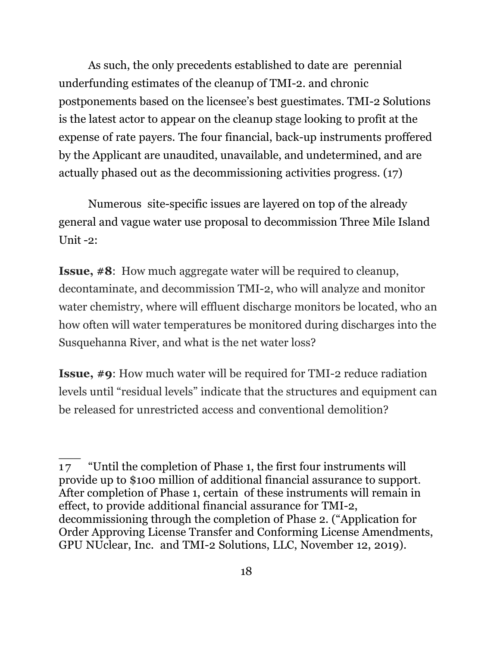As such, the only precedents established to date are perennial underfunding estimates of the cleanup of TMI-2. and chronic postponements based on the licensee's best guestimates. TMI-2 Solutions is the latest actor to appear on the cleanup stage looking to profit at the expense of rate payers. The four financial, back-up instruments proffered by the Applicant are unaudited, unavailable, and undetermined, and are actually phased out as the decommissioning activities progress. (17)

Numerous site-specific issues are layered on top of the already general and vague water use proposal to decommission Three Mile Island Unit -2:

**Issue, #8**: How much aggregate water will be required to cleanup, decontaminate, and decommission TMI-2, who will analyze and monitor water chemistry, where will effluent discharge monitors be located, who an how often will water temperatures be monitored during discharges into the Susquehanna River, and what is the net water loss?

**Issue, #9**: How much water will be required for TMI-2 reduce radiation levels until "residual levels" indicate that the structures and equipment can be released for unrestricted access and conventional demolition?

\_\_\_

<sup>17 &</sup>quot;Until the completion of Phase 1, the first four instruments will provide up to \$100 million of additional financial assurance to support. After completion of Phase 1, certain of these instruments will remain in effect, to provide additional financial assurance for TMI-2, decommissioning through the completion of Phase 2. ("Application for Order Approving License Transfer and Conforming License Amendments, GPU NUclear, Inc. and TMI-2 Solutions, LLC, November 12, 2019).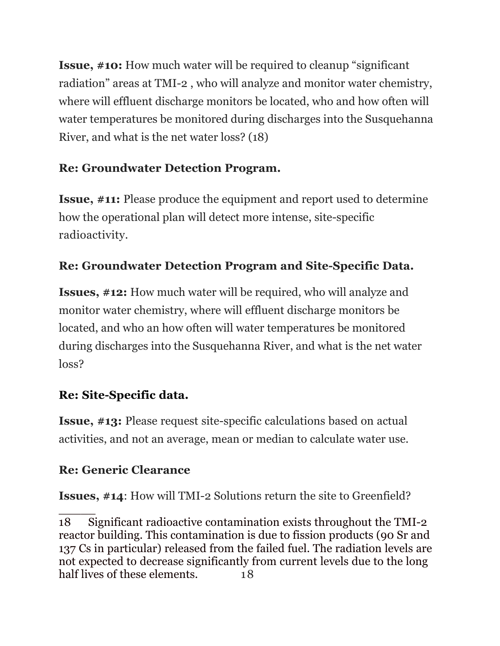**Issue, #10:** How much water will be required to cleanup "significant radiation" areas at TMI-2 , who will analyze and monitor water chemistry, where will effluent discharge monitors be located, who and how often will water temperatures be monitored during discharges into the Susquehanna River, and what is the net water loss? (18)

## **Re: Groundwater Detection Program.**

**Issue, #11:** Please produce the equipment and report used to determine how the operational plan will detect more intense, site-specific radioactivity.

# **Re: Groundwater Detection Program and Site-Specific Data.**

**Issues, #12:** How much water will be required, who will analyze and monitor water chemistry, where will effluent discharge monitors be located, and who an how often will water temperatures be monitored during discharges into the Susquehanna River, and what is the net water loss?

## **Re: Site-Specific data.**

**Issue, #13:** Please request site-specific calculations based on actual activities, and not an average, mean or median to calculate water use.

## **Re: Generic Clearance**

**Issues, #14**: How will TMI-2 Solutions return the site to Greenfield?

 $\overline{\phantom{a}}$ 18 Significant radioactive contamination exists throughout the TMI-2 reactor building. This contamination is due to fission products (90 Sr and 137 Cs in particular) released from the failed fuel. The radiation levels are not expected to decrease significantly from current levels due to the long half lives of these elements. 18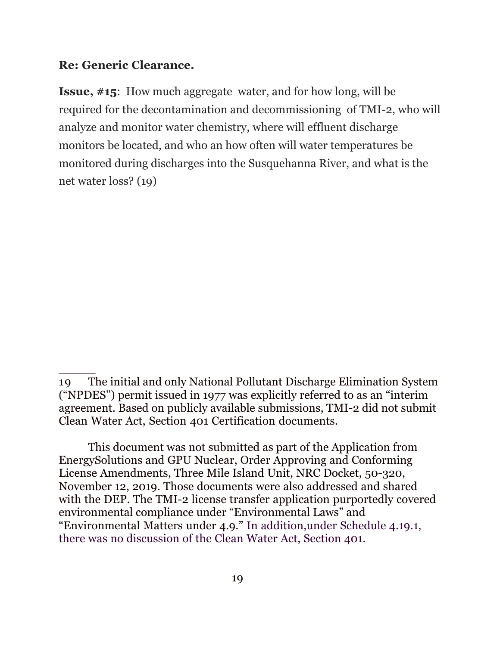#### **Re: Generic Clearance.**

 $\overline{\phantom{a}}$ 

**Issue, #15**: How much aggregate water, and for how long, will be required for the decontamination and decommissioning of TMI-2, who will analyze and monitor water chemistry, where will effluent discharge monitors be located, and who an how often will water temperatures be monitored during discharges into the Susquehanna River, and what is the net water loss? (19)

This document was not submitted as part of the Application from EnergySolutions and GPU Nuclear, Order Approving and Conforming License Amendments, Three Mile Island Unit, NRC Docket, 50-320, November 12, 2019. Those documents were also addressed and shared with the DEP. The TMI-2 license transfer application purportedly covered environmental compliance under "Environmental Laws" and "Environmental Matters under 4.9." In addition,under Schedule 4.19.1, there was no discussion of the Clean Water Act, Section 401.

<sup>19</sup> The initial and only National Pollutant Discharge Elimination System ("NPDES") permit issued in 1977 was explicitly referred to as an "interim agreement. Based on publicly available submissions, TMI-2 did not submit Clean Water Act, Section 401 Certification documents.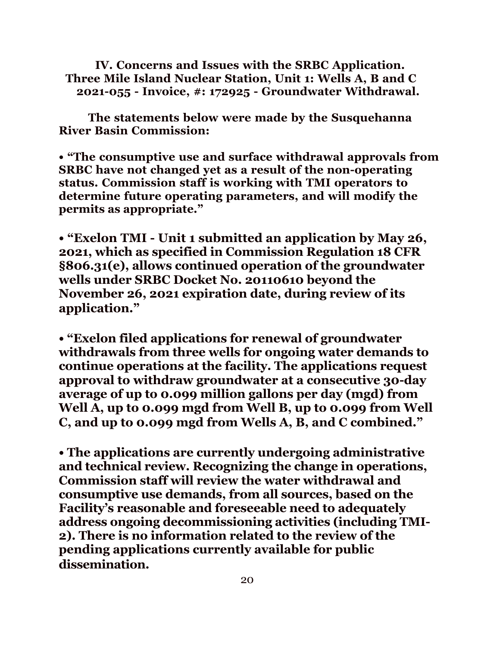**IV. Concerns and Issues with the SRBC Application. Three Mile Island Nuclear Station, Unit 1: Wells A, B and C 2021-055 - Invoice, #: 172925 - Groundwater Withdrawal.**

**The statements below were made by the Susquehanna River Basin Commission:**

**• "The consumptive use and surface withdrawal approvals from SRBC have not changed yet as a result of the non-operating status. Commission staff is working with TMI operators to determine future operating parameters, and will modify the permits as appropriate."**

**• "Exelon TMI - Unit 1 submitted an application by May 26, 2021, which as specified in Commission Regulation 18 CFR §806.31(e), allows continued operation of the groundwater wells under SRBC Docket No. 20110610 beyond the November 26, 2021 expiration date, during review of its application."**

**• "Exelon filed applications for renewal of groundwater withdrawals from three wells for ongoing water demands to continue operations at the facility. The applications request approval to withdraw groundwater at a consecutive 30-day average of up to 0.099 million gallons per day (mgd) from Well A, up to 0.099 mgd from Well B, up to 0.099 from Well C, and up to 0.099 mgd from Wells A, B, and C combined."**

**• The applications are currently undergoing administrative and technical review. Recognizing the change in operations, Commission staff will review the water withdrawal and consumptive use demands, from all sources, based on the Facility's reasonable and foreseeable need to adequately address ongoing decommissioning activities (including TMI-2). There is no information related to the review of the pending applications currently available for public dissemination.**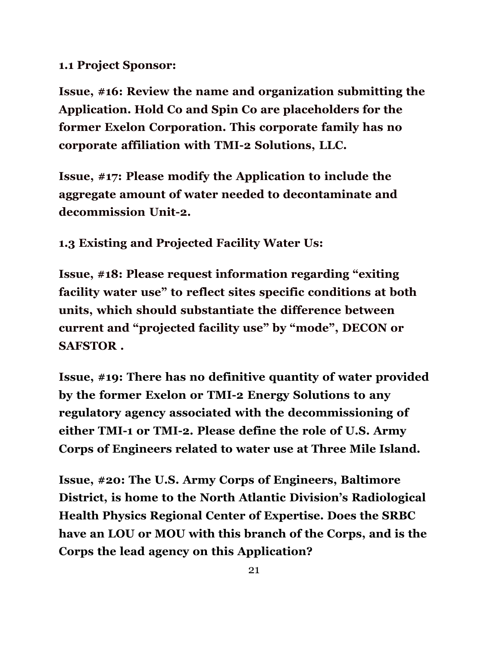#### **1.1 Project Sponsor:**

**Issue, #16: Review the name and organization submitting the Application. Hold Co and Spin Co are placeholders for the former Exelon Corporation. This corporate family has no corporate affiliation with TMI-2 Solutions, LLC.**

**Issue, #17: Please modify the Application to include the aggregate amount of water needed to decontaminate and decommission Unit-2.**

**1.3 Existing and Projected Facility Water Us:**

**Issue, #18: Please request information regarding "exiting facility water use" to reflect sites specific conditions at both units, which should substantiate the difference between current and "projected facility use" by "mode", DECON or SAFSTOR .**

**Issue, #19: There has no definitive quantity of water provided by the former Exelon or TMI-2 Energy Solutions to any regulatory agency associated with the decommissioning of either TMI-1 or TMI-2. Please define the role of U.S. Army Corps of Engineers related to water use at Three Mile Island.**

**Issue, #20: The U.S. Army Corps of Engineers, Baltimore District, is home to the North Atlantic Division's Radiological Health Physics Regional Center of Expertise. Does the SRBC have an LOU or MOU with this branch of the Corps, and is the Corps the lead agency on this Application?**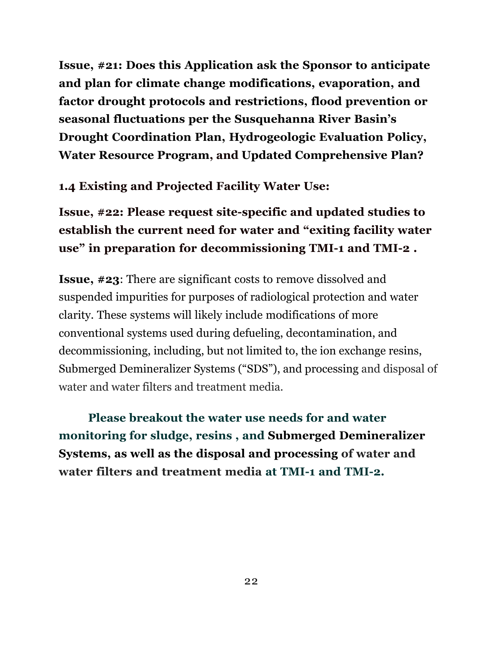**Issue, #21: Does this Application ask the Sponsor to anticipate and plan for climate change modifications, evaporation, and factor drought protocols and restrictions, flood prevention or seasonal fluctuations per the Susquehanna River Basin's Drought Coordination Plan, Hydrogeologic Evaluation Policy, Water Resource Program, and Updated Comprehensive Plan?**

#### **1.4 Existing and Projected Facility Water Use:**

**Issue, #22: Please request site-specific and updated studies to establish the current need for water and "exiting facility water use" in preparation for decommissioning TMI-1 and TMI-2 .**

**Issue, #23**: There are significant costs to remove dissolved and suspended impurities for purposes of radiological protection and water clarity. These systems will likely include modifications of more conventional systems used during defueling, decontamination, and decommissioning, including, but not limited to, the ion exchange resins, Submerged Demineralizer Systems ("SDS"), and processing and disposal of water and water filters and treatment media.

**Please breakout the water use needs for and water monitoring for sludge, resins , and Submerged Demineralizer Systems, as well as the disposal and processing of water and water filters and treatment media at TMI-1 and TMI-2.**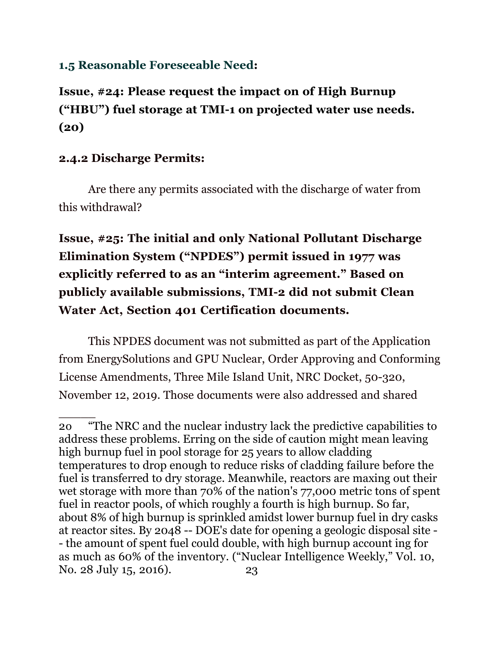#### **1.5 Reasonable Foreseeable Need:**

# **Issue, #24: Please request the impact on of High Burnup ("HBU") fuel storage at TMI-1 on projected water use needs. (20)**

#### **2.4.2 Discharge Permits:**

 $\overline{\phantom{a}}$ 

Are there any permits associated with the discharge of water from this withdrawal?

# **Issue, #25: The initial and only National Pollutant Discharge Elimination System ("NPDES") permit issued in 1977 was explicitly referred to as an "interim agreement." Based on publicly available submissions, TMI-2 did not submit Clean Water Act, Section 401 Certification documents.**

This NPDES document was not submitted as part of the Application from EnergySolutions and GPU Nuclear, Order Approving and Conforming License Amendments, Three Mile Island Unit, NRC Docket, 50-320, November 12, 2019. Those documents were also addressed and shared

<sup>2</sup>o "The NRC and the nuclear industry lack the predictive capabilities to address these problems. Erring on the side of caution might mean leaving high burnup fuel in pool storage for 25 years to allow cladding temperatures to drop enough to reduce risks of cladding failure before the fuel is transferred to dry storage. Meanwhile, reactors are maxing out their wet storage with more than 70% of the nation's 77,000 metric tons of spent fuel in reactor pools, of which roughly a fourth is high burnup. So far, about 8% of high burnup is sprinkled amidst lower burnup fuel in dry casks at reactor sites. By 2048 -- DOE's date for opening a geologic disposal site - - the amount of spent fuel could double, with high burnup account ing for as much as 60% of the inventory. ("Nuclear Intelligence Weekly," Vol. 10, No. 28 July 15, 2016). 23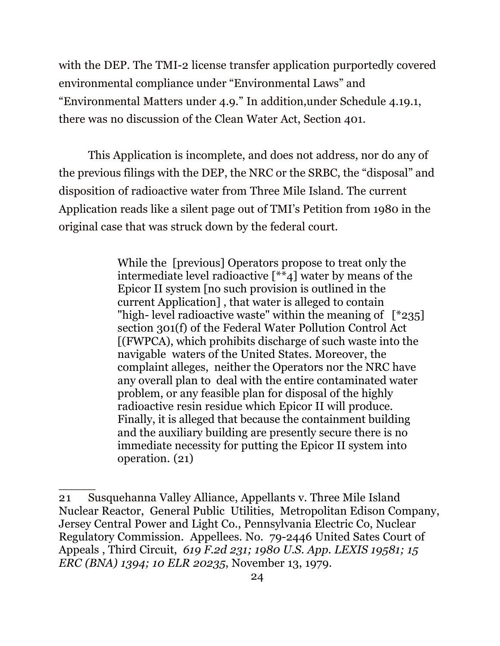with the DEP. The TMI-2 license transfer application purportedly covered environmental compliance under "Environmental Laws" and "Environmental Matters under 4.9." In addition,under Schedule 4.19.1, there was no discussion of the Clean Water Act, Section 401.

This Application is incomplete, and does not address, nor do any of the previous filings with the DEP, the NRC or the SRBC, the "disposal" and disposition of radioactive water from Three Mile Island. The current Application reads like a silent page out of TMI's Petition from 1980 in the original case that was struck down by the federal court.

> While the [previous] Operators propose to treat only the intermediate level radioactive  $\begin{bmatrix} * & 1 \ * & 4 \end{bmatrix}$  water by means of the Epicor II system [no such provision is outlined in the current Application] , that water is alleged to contain "high- level radioactive waste" within the meaning of  $[^*235]$ section 301(f) of the Federal Water Pollution Control Act [(FWPCA), which prohibits discharge of such waste into the navigable waters of the United States. Moreover, the complaint alleges, neither the Operators nor the NRC have any overall plan to deal with the entire contaminated water problem, or any feasible plan for disposal of the highly radioactive resin residue which Epicor II will produce. Finally, it is alleged that because the containment building and the auxiliary building are presently secure there is no immediate necessity for putting the Epicor II system into operation. (21)

<sup>21</sup> Susquehanna Valley Alliance, Appellants v. Three Mile Island Nuclear Reactor, General Public Utilities, Metropolitan Edison Company, Jersey Central Power and Light Co., Pennsylvania Electric Co, Nuclear Regulatory Commission. Appellees. No. 79-2446 United Sates Court of Appeals , Third Circuit, *619 F.2d 231; 1980 U.S. App. LEXIS 19581; 15 ERC (BNA) 1394; 10 ELR 20235*, November 13, 1979.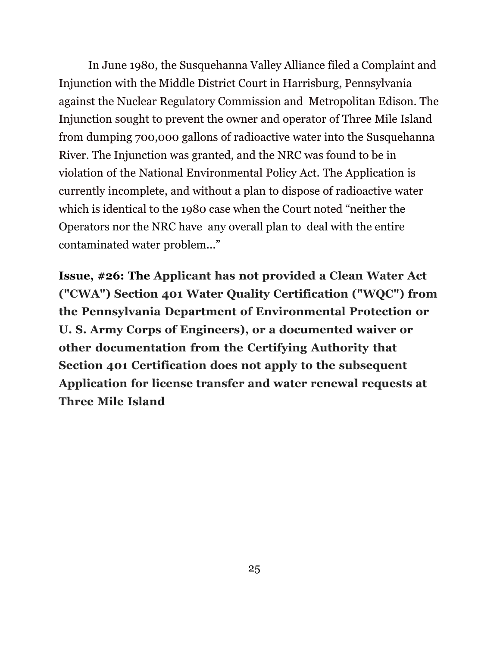In June 1980, the Susquehanna Valley Alliance filed a Complaint and Injunction with the Middle District Court in Harrisburg, Pennsylvania against the Nuclear Regulatory Commission and Metropolitan Edison. The Injunction sought to prevent the owner and operator of Three Mile Island from dumping 700,000 gallons of radioactive water into the Susquehanna River. The Injunction was granted, and the NRC was found to be in violation of the National Environmental Policy Act. The Application is currently incomplete, and without a plan to dispose of radioactive water which is identical to the 1980 case when the Court noted "neither the Operators nor the NRC have any overall plan to deal with the entire contaminated water problem..."

**Issue, #26: The Applicant has not provided a Clean Water Act ("CWA") Section 401 Water Quality Certification ("WQC") from the Pennsylvania Department of Environmental Protection or U. S. Army Corps of Engineers), or a documented waiver or other documentation from the Certifying Authority that Section 401 Certification does not apply to the subsequent Application for license transfer and water renewal requests at Three Mile Island**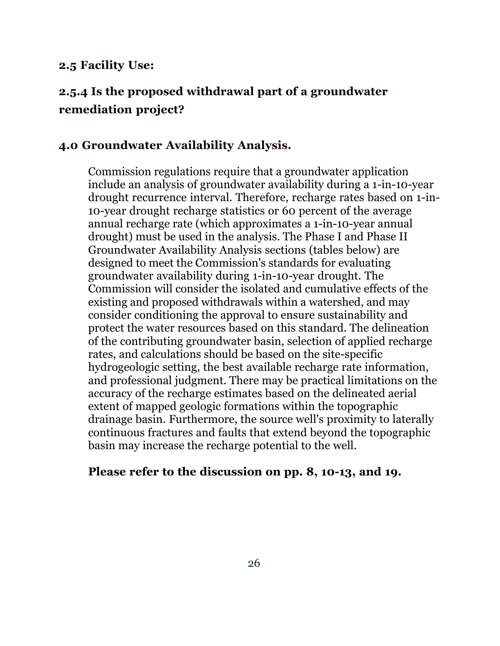#### **2.5 Facility Use:**

### **2.5.4 Is the proposed withdrawal part of a groundwater remediation project?**

#### **4.0 Groundwater Availability Analysis.**

Commission regulations require that a groundwater application include an analysis of groundwater availability during a 1-in-10-year drought recurrence interval. Therefore, recharge rates based on 1-in-10-year drought recharge statistics or 60 percent of the average annual recharge rate (which approximates a 1-in-10-year annual drought) must be used in the analysis. The Phase I and Phase II Groundwater Availability Analysis sections (tables below) are designed to meet the Commission's standards for evaluating groundwater availability during 1-in-10-year drought. The Commission will consider the isolated and cumulative effects of the existing and proposed withdrawals within a watershed, and may consider conditioning the approval to ensure sustainability and protect the water resources based on this standard. The delineation of the contributing groundwater basin, selection of applied recharge rates, and calculations should be based on the site-specific hydrogeologic setting, the best available recharge rate information, and professional judgment. There may be practical limitations on the accuracy of the recharge estimates based on the delineated aerial extent of mapped geologic formations within the topographic drainage basin. Furthermore, the source well's proximity to laterally continuous fractures and faults that extend beyond the topographic basin may increase the recharge potential to the well.

#### **Please refer to the discussion on pp. 8, 10-13, and 19.**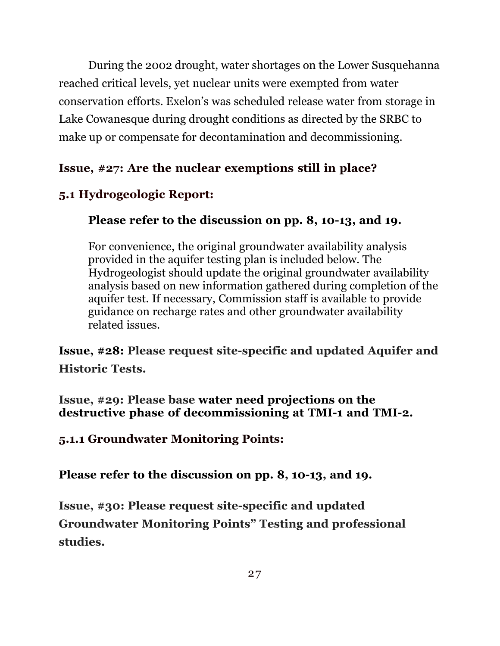During the 2002 drought, water shortages on the Lower Susquehanna reached critical levels, yet nuclear units were exempted from water conservation efforts. Exelon's was scheduled release water from storage in Lake Cowanesque during drought conditions as directed by the SRBC to make up or compensate for decontamination and decommissioning.

### **Issue, #27: Are the nuclear exemptions still in place?**

### **5.1 Hydrogeologic Report:**

### **Please refer to the discussion on pp. 8, 10-13, and 19.**

For convenience, the original groundwater availability analysis provided in the aquifer testing plan is included below. The Hydrogeologist should update the original groundwater availability analysis based on new information gathered during completion of the aquifer test. If necessary, Commission staff is available to provide guidance on recharge rates and other groundwater availability related issues.

**Issue, #28: Please request site-specific and updated Aquifer and Historic Tests.**

**Issue, #29: Please base water need projections on the destructive phase of decommissioning at TMI-1 and TMI-2.**

**5.1.1 Groundwater Monitoring Points:**

**Please refer to the discussion on pp. 8, 10-13, and 19.**

**Issue, #30: Please request site-specific and updated Groundwater Monitoring Points" Testing and professional studies.**